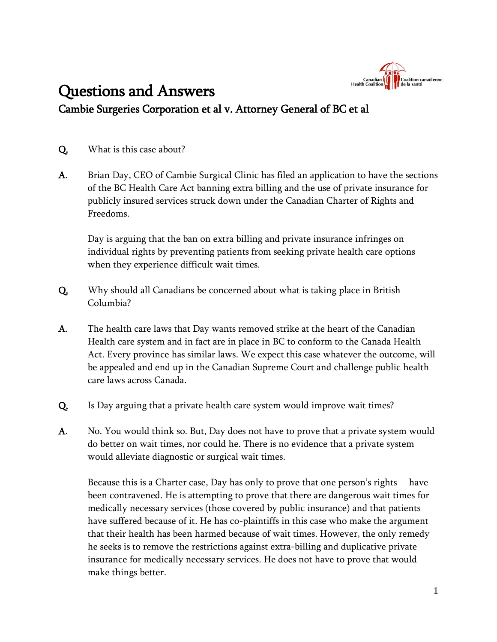

## Questions and Answers Cambie Surgeries Corporation et al v. Attorney General of BC et al

Q. What is this case about?

A. Brian Day, CEO of Cambie Surgical Clinic has filed an application to have the sections of the BC Health Care Act banning extra billing and the use of private insurance for publicly insured services struck down under the Canadian Charter of Rights and Freedoms.

Day is arguing that the ban on extra billing and private insurance infringes on individual rights by preventing patients from seeking private health care options when they experience difficult wait times.

- Q. Why should all Canadians be concerned about what is taking place in British Columbia?
- A. The health care laws that Day wants removed strike at the heart of the Canadian Health care system and in fact are in place in BC to conform to the Canada Health Act. Every province has similar laws. We expect this case whatever the outcome, will be appealed and end up in the Canadian Supreme Court and challenge public health care laws across Canada.
- Q. Is Day arguing that a private health care system would improve wait times?
- A. No. You would think so. But, Day does not have to prove that a private system would do better on wait times, nor could he. There is no evidence that a private system would alleviate diagnostic or surgical wait times.

Because this is a Charter case, Day has only to prove that one person's rights have been contravened. He is attempting to prove that there are dangerous wait times for medically necessary services (those covered by public insurance) and that patients have suffered because of it. He has co-plaintiffs in this case who make the argument that their health has been harmed because of wait times. However, the only remedy he seeks is to remove the restrictions against extra-billing and duplicative private insurance for medically necessary services. He does not have to prove that would make things better.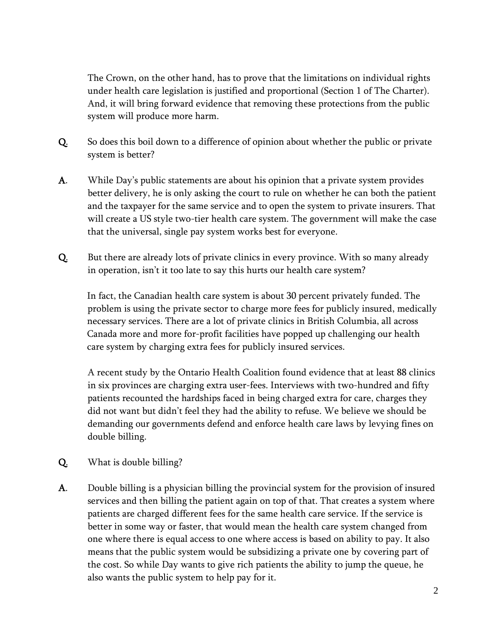The Crown, on the other hand, has to prove that the limitations on individual rights under health care legislation is justified and proportional (Section 1 of The Charter). And, it will bring forward evidence that removing these protections from the public system will produce more harm.

- Q. So does this boil down to a difference of opinion about whether the public or private system is better?
- A. While Day's public statements are about his opinion that a private system provides better delivery, he is only asking the court to rule on whether he can both the patient and the taxpayer for the same service and to open the system to private insurers. That will create a US style two-tier health care system. The government will make the case that the universal, single pay system works best for everyone.
- Q. But there are already lots of private clinics in every province. With so many already in operation, isn't it too late to say this hurts our health care system?

In fact, the Canadian health care system is about 30 percent privately funded. The problem is using the private sector to charge more fees for publicly insured, medically necessary services. There are a lot of private clinics in British Columbia, all across Canada more and more for-profit facilities have popped up challenging our health care system by charging extra fees for publicly insured services.

A recent study by the Ontario Health Coalition found evidence that at least 88 clinics in six provinces are charging extra user-fees. Interviews with two-hundred and fifty patients recounted the hardships faced in being charged extra for care, charges they did not want but didn't feel they had the ability to refuse. We believe we should be demanding our governments defend and enforce health care laws by levying fines on double billing.

- Q. What is double billing?
- A. Double billing is a physician billing the provincial system for the provision of insured services and then billing the patient again on top of that. That creates a system where patients are charged different fees for the same health care service. If the service is better in some way or faster, that would mean the health care system changed from one where there is equal access to one where access is based on ability to pay. It also means that the public system would be subsidizing a private one by covering part of the cost. So while Day wants to give rich patients the ability to jump the queue, he also wants the public system to help pay for it.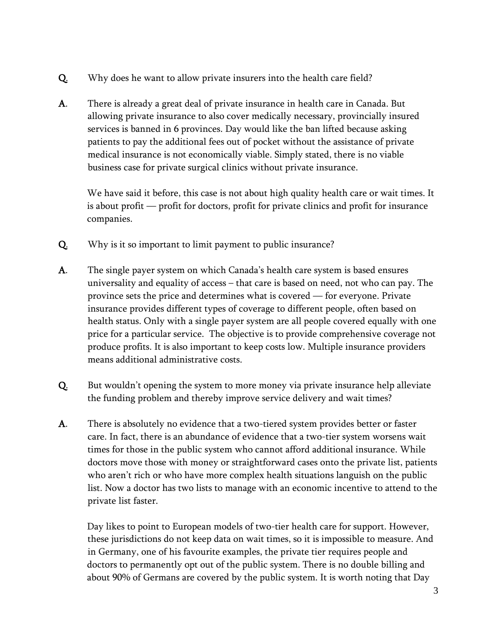- Q. Why does he want to allow private insurers into the health care field?
- A. There is already a great deal of private insurance in health care in Canada. But allowing private insurance to also cover medically necessary, provincially insured services is banned in 6 provinces. Day would like the ban lifted because asking patients to pay the additional fees out of pocket without the assistance of private medical insurance is not economically viable. Simply stated, there is no viable business case for private surgical clinics without private insurance.

We have said it before, this case is not about high quality health care or wait times. It is about profit — profit for doctors, profit for private clinics and profit for insurance companies.

- Q. Why is it so important to limit payment to public insurance?
- A. The single payer system on which Canada's health care system is based ensures universality and equality of access – that care is based on need, not who can pay. The province sets the price and determines what is covered — for everyone. Private insurance provides different types of coverage to different people, often based on health status. Only with a single payer system are all people covered equally with one price for a particular service. The objective is to provide comprehensive coverage not produce profits. It is also important to keep costs low. Multiple insurance providers means additional administrative costs.
- Q. But wouldn't opening the system to more money via private insurance help alleviate the funding problem and thereby improve service delivery and wait times?
- A. There is absolutely no evidence that a two-tiered system provides better or faster care. In fact, there is an abundance of evidence that a two-tier system worsens wait times for those in the public system who cannot afford additional insurance. While doctors move those with money or straightforward cases onto the private list, patients who aren't rich or who have more complex health situations languish on the public list. Now a doctor has two lists to manage with an economic incentive to attend to the private list faster.

Day likes to point to European models of two-tier health care for support. However, these jurisdictions do not keep data on wait times, so it is impossible to measure. And in Germany, one of his favourite examples, the private tier requires people and doctors to permanently opt out of the public system. There is no double billing and about 90% of Germans are covered by the public system. It is worth noting that Day